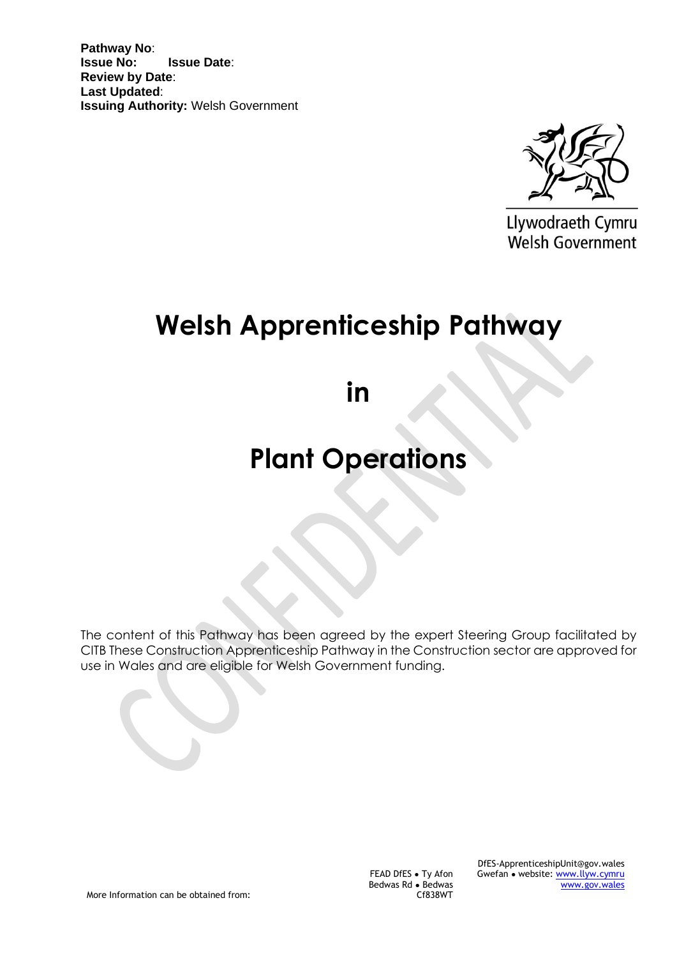**Pathway No**: **Issue No: Issue Date**: **Review by Date**: **Last Updated**: **Issuing Authority:** Welsh Government



Llywodraeth Cymru Welsh Government

# **Welsh Apprenticeship Pathway**

**in** 

# **Plant Operations**

The content of this Pathway has been agreed by the expert Steering Group facilitated by CITB These Construction Apprenticeship Pathway in the Construction sector are approved for use in Wales and are eligible for Welsh Government funding.

More Information can be obtained from:

FEAD DfES ● Ty Afon Bedwas Rd ● Bedwas Cf838WT

DfES-ApprenticeshipUnit@gov.wales Gwefan ● website: [www.llyw.cymru](http://www.llyw.cymru/) [www.gov.wales](http://www.gov.wales/)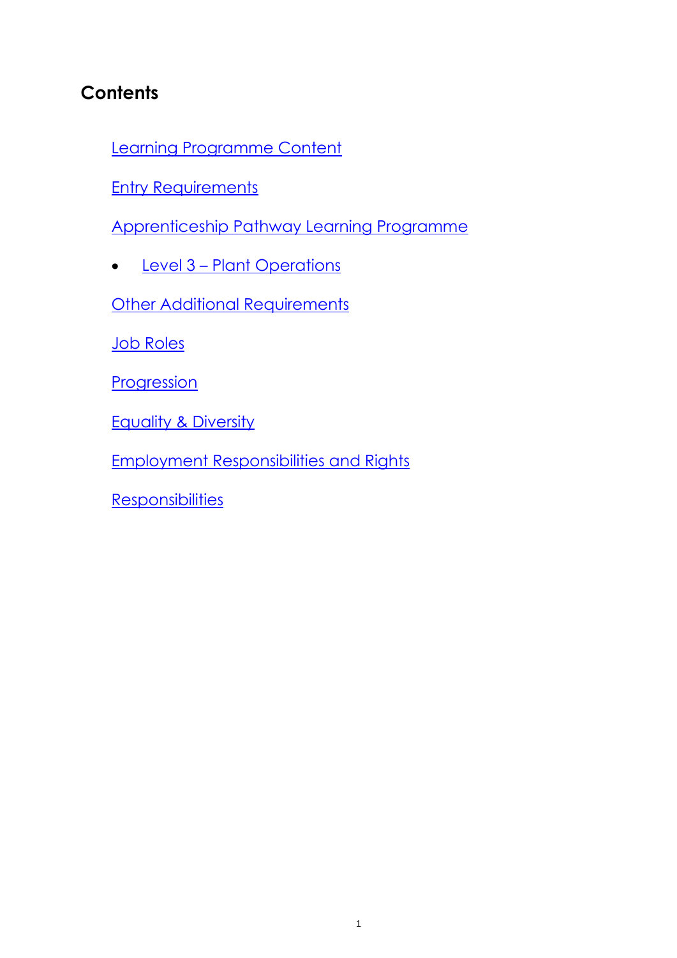# **Contents**

[Learning Programme Content](#page-2-0)

**[Entry Requirements](#page-2-1)** 

[Apprenticeship Pathway Learning Programme](#page-2-1)

• [Level 3](#page-3-0) – Plant Operations

**[Other Additional Requirements](#page-4-0)** 

[Job Roles](#page-5-0)

[Progression](#page-7-0)

**[Equality & Diversity](#page-8-0)** 

[Employment Responsibilities and Rights](#page-9-0)

**[Responsibilities](#page-10-0)**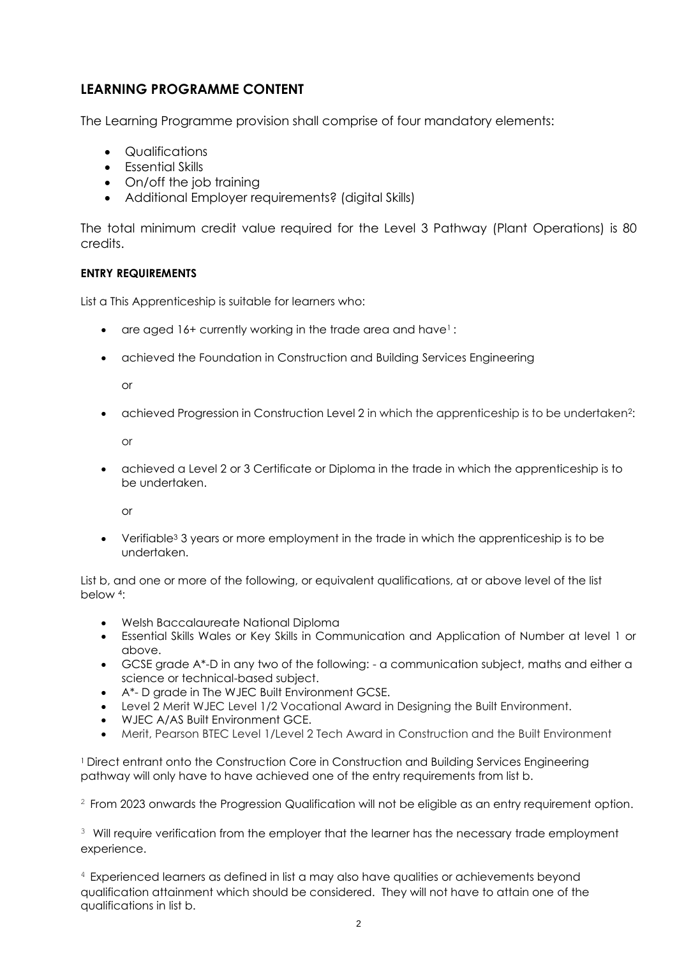### <span id="page-2-0"></span>**LEARNING PROGRAMME CONTENT**

The Learning Programme provision shall comprise of four mandatory elements:

- Qualifications
- Essential Skills
- On/off the job training
- Additional Employer requirements? (digital Skills)

The total minimum credit value required for the Level 3 Pathway (Plant Operations) is 80 credits.

#### <span id="page-2-1"></span>**ENTRY REQUIREMENTS**

List a This Apprenticeship is suitable for learners who:

- are aged 16+ currently working in the trade area and have<sup>1</sup>:
- achieved the Foundation in Construction and Building Services Engineering

or

• achieved Progression in Construction Level 2 in which the apprenticeship is to be undertaken<sup>2</sup>:

or

• achieved a Level 2 or 3 Certificate or Diploma in the trade in which the apprenticeship is to be undertaken.

or

• Verifiable<sup>3</sup> 3 years or more employment in the trade in which the apprenticeship is to be undertaken.

List b, and one or more of the following, or equivalent qualifications, at or above level of the list below 4:

- Welsh Baccalaureate National Diploma
- Essential Skills Wales or Key Skills in Communication and Application of Number at level 1 or above.
- GCSE grade A\*-D in any two of the following: a communication subject, maths and either a science or technical-based subject.
- A\*- D grade in The WJEC Built Environment GCSE.
- Level 2 Merit WJEC Level 1/2 Vocational Award in Designing the Built Environment.
- WJEC A/AS Built Environment GCE.
- Merit, Pearson BTEC Level 1/Level 2 Tech Award in Construction and the Built Environment

<sup>1</sup>Direct entrant onto the Construction Core in Construction and Building Services Engineering pathway will only have to have achieved one of the entry requirements from list b.

 $2$  From 2023 onwards the Progression Qualification will not be eligible as an entry requirement option.

 $3\,$  Will require verification from the employer that the learner has the necessary trade employment experience.

<sup>4</sup> Experienced learners as defined in list a may also have qualities or achievements beyond qualification attainment which should be considered. They will not have to attain one of the qualifications in list b.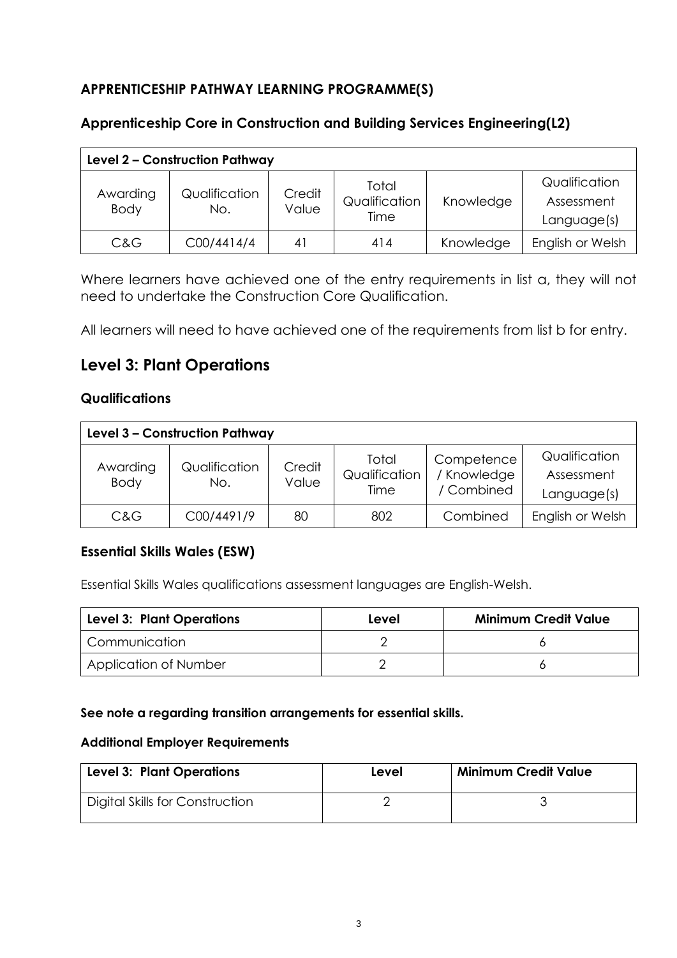# **APPRENTICESHIP PATHWAY LEARNING PROGRAMME(S)**

# **Apprenticeship Core in Construction and Building Services Engineering(L2)**

| Level 2 - Construction Pathway |                      |                 |                                |           |                                            |
|--------------------------------|----------------------|-----------------|--------------------------------|-----------|--------------------------------------------|
| Awarding<br><b>Body</b>        | Qualification<br>No. | Credit<br>Value | Total<br>Qualification<br>Time | Knowledge | Qualification<br>Assessment<br>Language(s) |
| C&G                            | C00/4414/4           | 41              | 414                            | Knowledge | English or Welsh                           |

Where learners have achieved one of the entry requirements in list a, they will not need to undertake the Construction Core Qualification.

All learners will need to have achieved one of the requirements from list b for entry.

# <span id="page-3-0"></span>**Level 3: Plant Operations**

#### **Qualifications**

| Level 3 - Construction Pathway |                      |                 |                                |                                         |                                            |
|--------------------------------|----------------------|-----------------|--------------------------------|-----------------------------------------|--------------------------------------------|
| Awarding<br><b>Body</b>        | Qualification<br>No. | Credit<br>Value | Total<br>Qualification<br>Time | Competence<br>/ Knowledge<br>/ Combined | Qualification<br>Assessment<br>Language(s) |
| C&G                            | C00/4491/9           | 80              | 802                            | Combined                                | English or Welsh                           |

# **Essential Skills Wales (ESW)**

Essential Skills Wales qualifications assessment languages are English-Welsh.

| <b>Level 3: Plant Operations</b> | Level | <b>Minimum Credit Value</b> |
|----------------------------------|-------|-----------------------------|
| I Communication                  |       |                             |
| Application of Number            |       |                             |

#### **See note a regarding transition arrangements for essential skills.**

#### **Additional Employer Requirements**

| <b>Level 3: Plant Operations</b> | Level | <b>Minimum Credit Value</b> |
|----------------------------------|-------|-----------------------------|
| Digital Skills for Construction  |       |                             |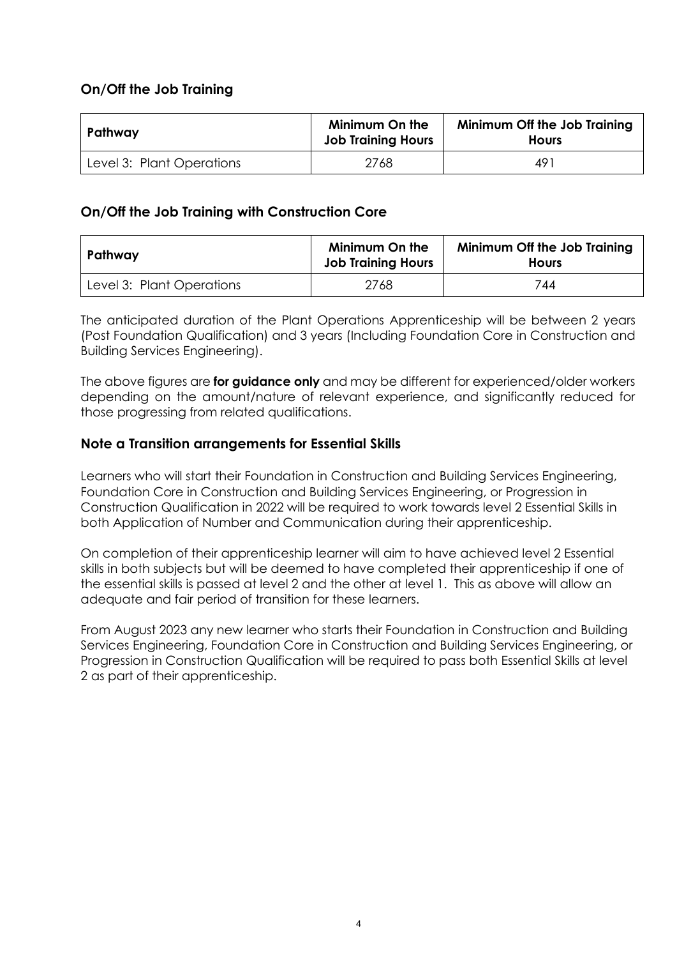#### **On/Off the Job Training**

| Pathway                   | <b>Minimum On the</b><br><b>Job Training Hours</b> | Minimum Off the Job Training<br><b>Hours</b> |  |
|---------------------------|----------------------------------------------------|----------------------------------------------|--|
| Level 3: Plant Operations | 2768                                               | 491                                          |  |

#### **On/Off the Job Training with Construction Core**

| Pathway                   | <b>Minimum On the</b><br><b>Job Training Hours</b> | Minimum Off the Job Training<br><b>Hours</b> |
|---------------------------|----------------------------------------------------|----------------------------------------------|
| Level 3: Plant Operations | 2768                                               | 744                                          |

The anticipated duration of the Plant Operations Apprenticeship will be between 2 years (Post Foundation Qualification) and 3 years (Including Foundation Core in Construction and Building Services Engineering).

The above figures are **for guidance only** and may be different for experienced/older workers depending on the amount/nature of relevant experience, and significantly reduced for those progressing from related qualifications.

#### **Note a Transition arrangements for Essential Skills**

Learners who will start their Foundation in Construction and Building Services Engineering, Foundation Core in Construction and Building Services Engineering, or Progression in Construction Qualification in 2022 will be required to work towards level 2 Essential Skills in both Application of Number and Communication during their apprenticeship.

On completion of their apprenticeship learner will aim to have achieved level 2 Essential skills in both subjects but will be deemed to have completed their apprenticeship if one of the essential skills is passed at level 2 and the other at level 1. This as above will allow an adequate and fair period of transition for these learners.

<span id="page-4-0"></span>From August 2023 any new learner who starts their Foundation in Construction and Building Services Engineering, Foundation Core in Construction and Building Services Engineering, or Progression in Construction Qualification will be required to pass both Essential Skills at level 2 as part of their apprenticeship.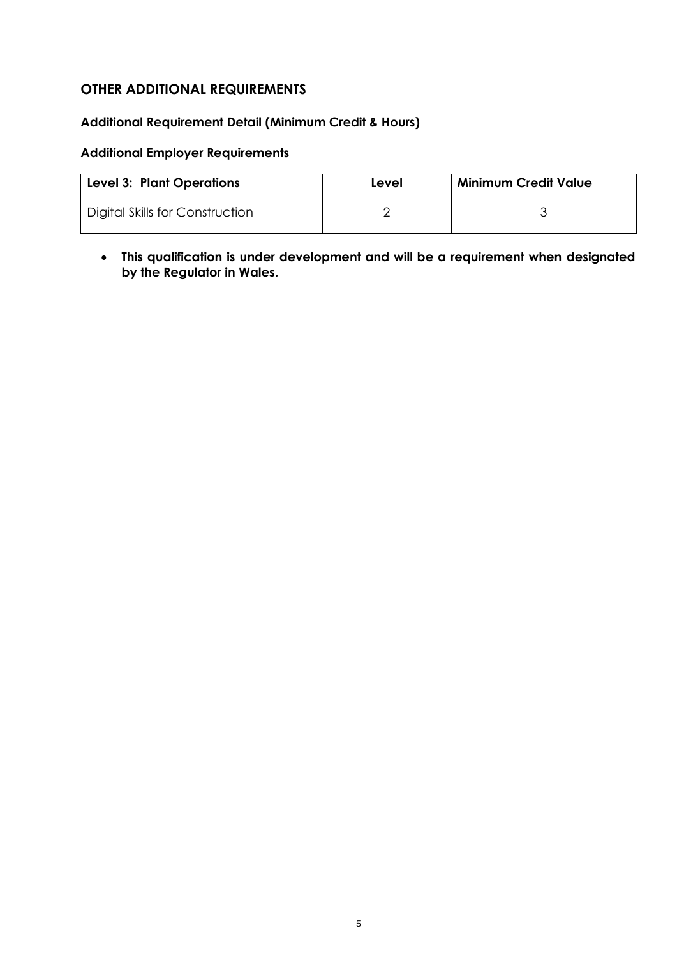# <span id="page-5-0"></span>**OTHER ADDITIONAL REQUIREMENTS**

#### **Additional Requirement Detail (Minimum Credit & Hours)**

#### **Additional Employer Requirements**

| <b>Level 3: Plant Operations</b> | Level | <b>Minimum Credit Value</b> |
|----------------------------------|-------|-----------------------------|
| Digital Skills for Construction  |       |                             |

• **This qualification is under development and will be a requirement when designated by the Regulator in Wales.**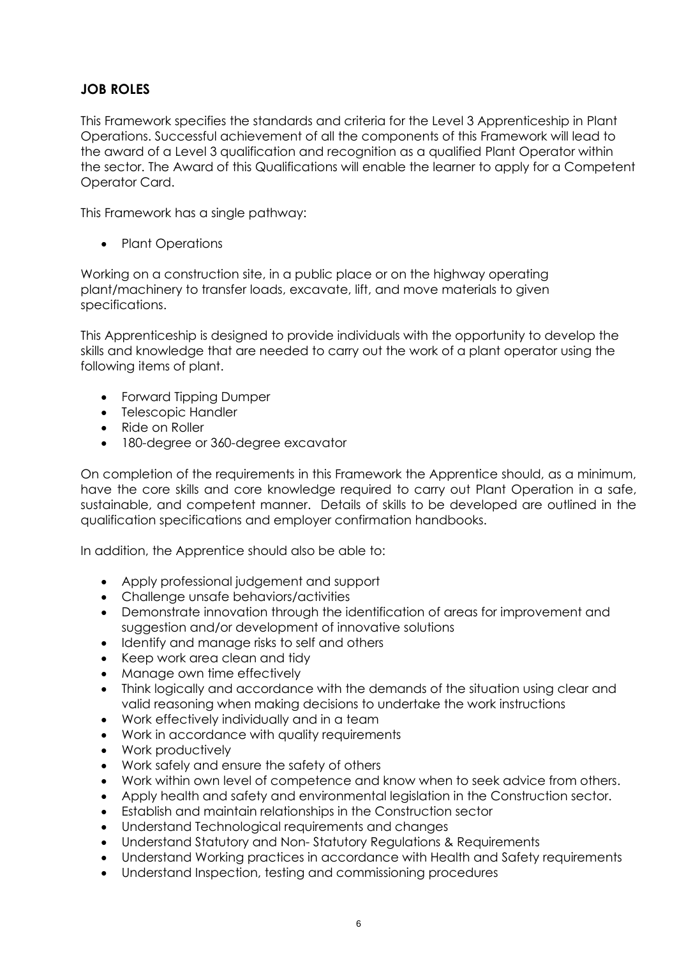# **JOB ROLES**

This Framework specifies the standards and criteria for the Level 3 Apprenticeship in Plant Operations. Successful achievement of all the components of this Framework will lead to the award of a Level 3 qualification and recognition as a qualified Plant Operator within the sector. The Award of this Qualifications will enable the learner to apply for a Competent Operator Card.

This Framework has a single pathway:

• Plant Operations

Working on a construction site, in a public place or on the highway operating plant/machinery to transfer loads, excavate, lift, and move materials to given specifications.

This Apprenticeship is designed to provide individuals with the opportunity to develop the skills and knowledge that are needed to carry out the work of a plant operator using the following items of plant.

- Forward Tipping Dumper
- Telescopic Handler
- Ride on Roller
- 180-degree or 360-degree excavator

On completion of the requirements in this Framework the Apprentice should, as a minimum, have the core skills and core knowledge required to carry out Plant Operation in a safe, sustainable, and competent manner. Details of skills to be developed are outlined in the qualification specifications and employer confirmation handbooks.

In addition, the Apprentice should also be able to:

- Apply professional judgement and support
- Challenge unsafe behaviors/activities
- Demonstrate innovation through the identification of areas for improvement and suggestion and/or development of innovative solutions
- Identify and manage risks to self and others
- Keep work area clean and tidy
- Manage own time effectively
- Think logically and accordance with the demands of the situation using clear and valid reasoning when making decisions to undertake the work instructions
- Work effectively individually and in a team
- Work in accordance with quality requirements
- Work productively
- Work safely and ensure the safety of others
- Work within own level of competence and know when to seek advice from others.
- Apply health and safety and environmental legislation in the Construction sector.
- Establish and maintain relationships in the Construction sector
- Understand Technological requirements and changes
- Understand Statutory and Non- Statutory Regulations & Requirements
- Understand Working practices in accordance with Health and Safety requirements
- Understand Inspection, testing and commissioning procedures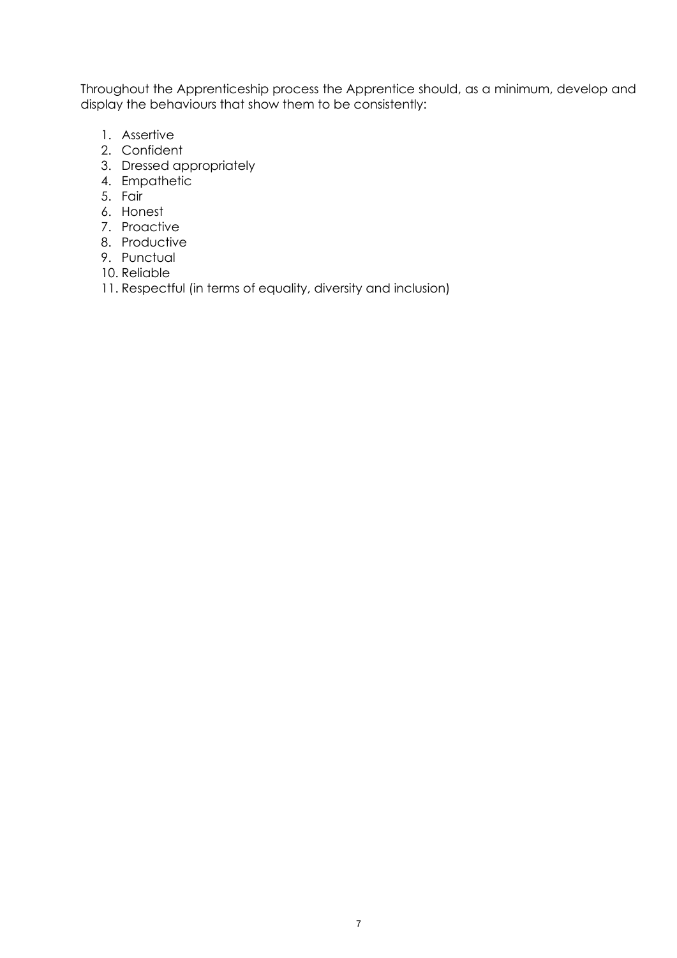Throughout the Apprenticeship process the Apprentice should, as a minimum, develop and display the behaviours that show them to be consistently:

- 1. Assertive
- 2. Confident
- 3. Dressed appropriately
- 4. Empathetic
- 5. Fair
- 6. Honest
- 7. Proactive
- 8. Productive
- 9. Punctual
- 10. Reliable
- <span id="page-7-0"></span>11. Respectful (in terms of equality, diversity and inclusion)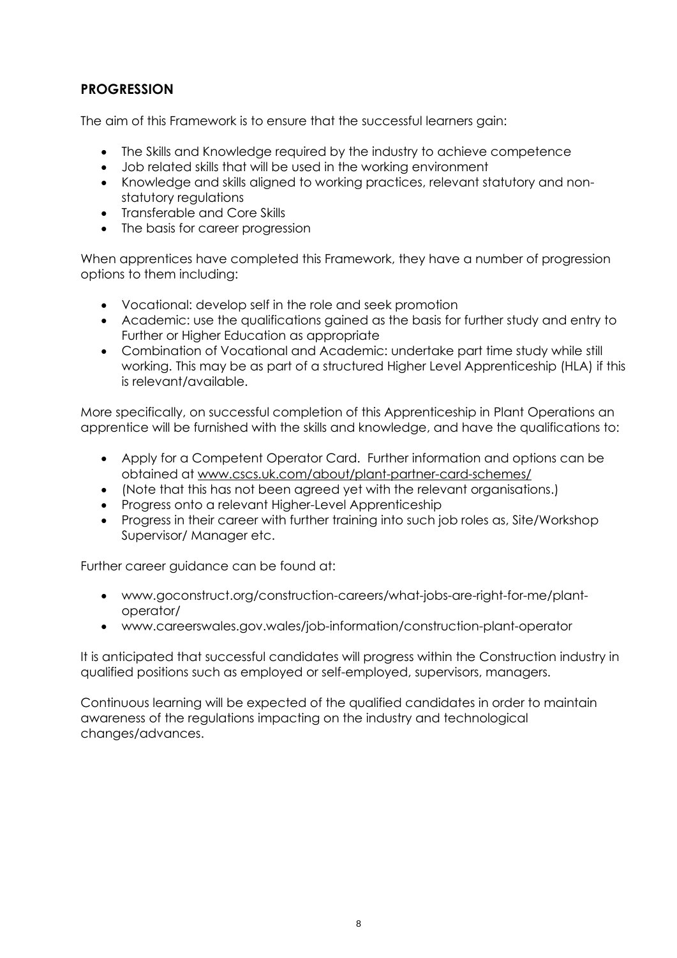# **PROGRESSION**

The aim of this Framework is to ensure that the successful learners gain:

- The Skills and Knowledge required by the industry to achieve competence
- Job related skills that will be used in the working environment
- Knowledge and skills aligned to working practices, relevant statutory and nonstatutory regulations
- Transferable and Core Skills
- The basis for career progression

When apprentices have completed this Framework, they have a number of progression options to them including:

- Vocational: develop self in the role and seek promotion
- Academic: use the qualifications gained as the basis for further study and entry to Further or Higher Education as appropriate
- Combination of Vocational and Academic: undertake part time study while still working. This may be as part of a structured Higher Level Apprenticeship (HLA) if this is relevant/available.

More specifically, on successful completion of this Apprenticeship in Plant Operations an apprentice will be furnished with the skills and knowledge, and have the qualifications to:

- Apply for a Competent Operator Card. Further information and options can be obtained at [www.cscs.uk.com/about/plant-partner-card-schemes/](http://www.cscs.uk.com/about/plant-partner-card-schemes/)
- (Note that this has not been agreed yet with the relevant organisations.)
- Progress onto a relevant Higher-Level Apprenticeship
- Progress in their career with further training into such job roles as, Site/Workshop Supervisor/ Manager etc.

Further career guidance can be found at:

- [www.goconstruct.org/construction-careers/what-jobs-are-right-for-me/plant](http://www.goconstruct.org/construction-careers/what-jobs-are-right-for-me/plant-operator/)[operator/](http://www.goconstruct.org/construction-careers/what-jobs-are-right-for-me/plant-operator/)
- [www.careerswales.gov.wales/job-information/construction-plant-operator](http://www.careerswales.gov.wales/job-information/construction-plant-operator)

It is anticipated that successful candidates will progress within the Construction industry in qualified positions such as employed or self-employed, supervisors, managers.

<span id="page-8-0"></span>Continuous learning will be expected of the qualified candidates in order to maintain awareness of the regulations impacting on the industry and technological changes/advances.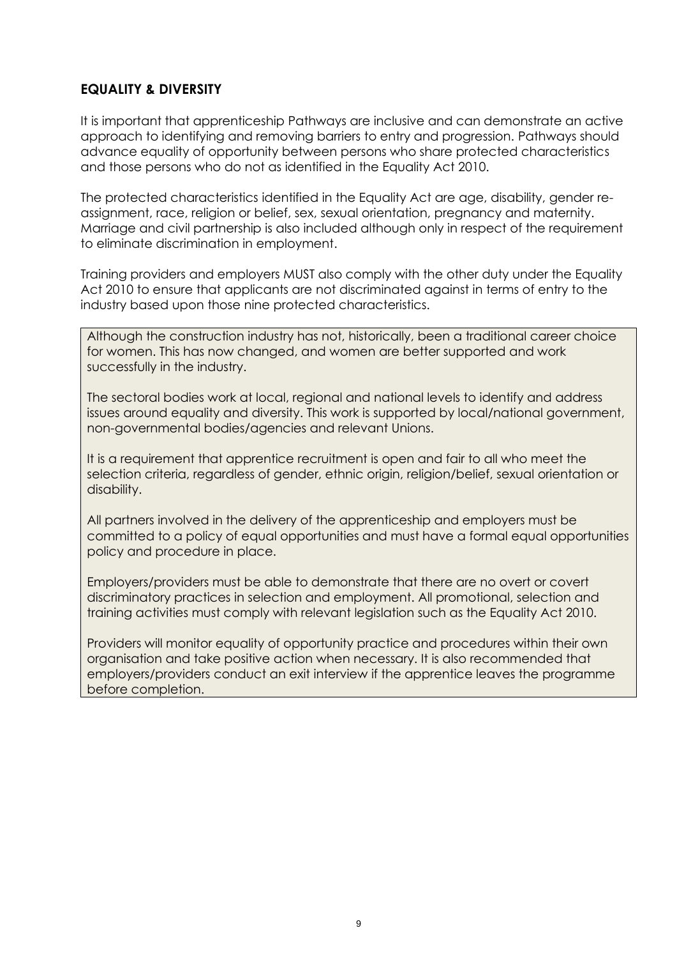# **EQUALITY & DIVERSITY**

It is important that apprenticeship Pathways are inclusive and can demonstrate an active approach to identifying and removing barriers to entry and progression. Pathways should advance equality of opportunity between persons who share protected characteristics and those persons who do not as identified in the Equality Act 2010.

The protected characteristics identified in the Equality Act are age, disability, gender reassignment, race, religion or belief, sex, sexual orientation, pregnancy and maternity. Marriage and civil partnership is also included although only in respect of the requirement to eliminate discrimination in employment.

Training providers and employers MUST also comply with the other duty under the Equality Act 2010 to ensure that applicants are not discriminated against in terms of entry to the industry based upon those nine protected characteristics.

Although the construction industry has not, historically, been a traditional career choice for women. This has now changed, and women are better supported and work successfully in the industry.

The sectoral bodies work at local, regional and national levels to identify and address issues around equality and diversity. This work is supported by local/national government, non-governmental bodies/agencies and relevant Unions.

It is a requirement that apprentice recruitment is open and fair to all who meet the selection criteria, regardless of gender, ethnic origin, religion/belief, sexual orientation or disability.

All partners involved in the delivery of the apprenticeship and employers must be committed to a policy of equal opportunities and must have a formal equal opportunities policy and procedure in place.

Employers/providers must be able to demonstrate that there are no overt or covert discriminatory practices in selection and employment. All promotional, selection and training activities must comply with relevant legislation such as the Equality Act 2010.

<span id="page-9-0"></span>Providers will monitor equality of opportunity practice and procedures within their own organisation and take positive action when necessary. It is also recommended that employers/providers conduct an exit interview if the apprentice leaves the programme before completion.